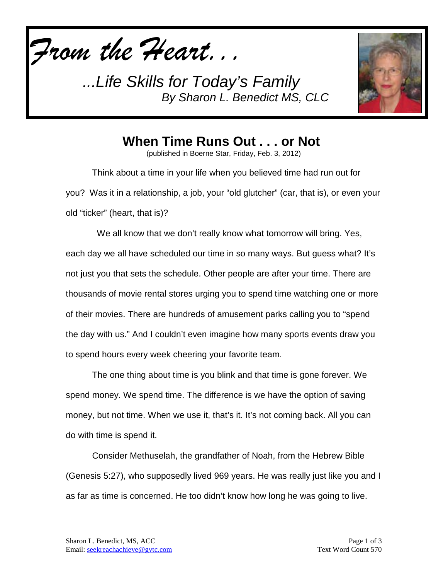*From the Heart...*



**When Time Runs Out . . . or Not**

(published in Boerne Star, Friday, Feb. 3, 2012)

Think about a time in your life when you believed time had run out for you? Was it in a relationship, a job, your "old glutcher" (car, that is), or even your old "ticker" (heart, that is)?

We all know that we don't really know what tomorrow will bring. Yes, each day we all have scheduled our time in so many ways. But guess what? It's not just you that sets the schedule. Other people are after your time. There are thousands of movie rental stores urging you to spend time watching one or more of their movies. There are hundreds of amusement parks calling you to "spend the day with us." And I couldn't even imagine how many sports events draw you to spend hours every week cheering your favorite team.

The one thing about time is you blink and that time is gone forever. We spend money. We spend time. The difference is we have the option of saving money, but not time. When we use it, that's it. It's not coming back. All you can do with time is spend it.

Consider Methuselah, the grandfather of Noah, from the Hebrew Bible (Genesis 5:27), who supposedly lived 969 years. He was really just like you and I as far as time is concerned. He too didn't know how long he was going to live.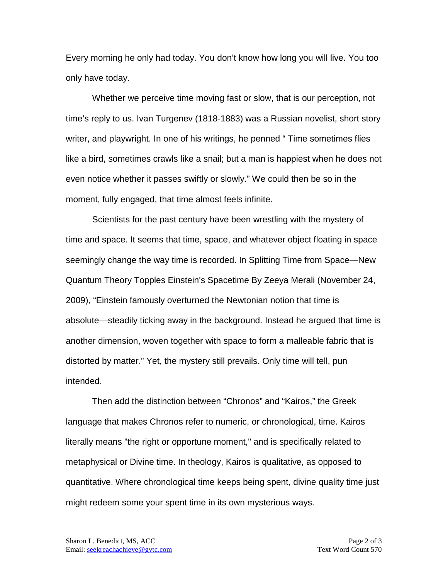Every morning he only had today. You don't know how long you will live. You too only have today.

Whether we perceive time moving fast or slow, that is our perception, not time's reply to us. Ivan Turgenev (1818-1883) was a Russian novelist, short story writer, and playwright. In one of his writings, he penned " Time sometimes flies like a bird, sometimes crawls like a snail; but a man is happiest when he does not even notice whether it passes swiftly or slowly." We could then be so in the moment, fully engaged, that time almost feels infinite.

Scientists for the past century have been wrestling with the mystery of time and space. It seems that time, space, and whatever object floating in space seemingly change the way time is recorded. In Splitting Time from Space—New Quantum Theory Topples Einstein's Spacetime By Zeeya Merali (November 24, 2009), "Einstein famously overturned the Newtonian notion that time is absolute—steadily ticking away in the background. Instead he argued that time is another dimension, woven together with space to form a malleable fabric that is distorted by matter." Yet, the mystery still prevails. Only time will tell, pun intended.

Then add the distinction between "Chronos" and "Kairos," the Greek language that makes Chronos refer to numeric, or chronological, time. Kairos literally means "the right or opportune moment," and is specifically related to metaphysical or Divine time. In theology, Kairos is qualitative, as opposed to quantitative. Where chronological time keeps being spent, divine quality time just might redeem some your spent time in its own mysterious ways.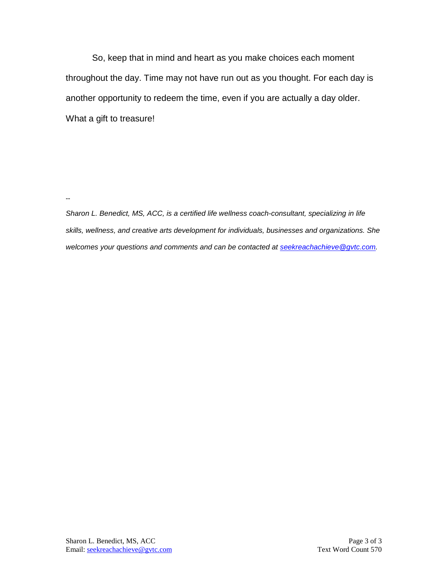So, keep that in mind and heart as you make choices each moment throughout the day. Time may not have run out as you thought. For each day is another opportunity to redeem the time, even if you are actually a day older. What a gift to treasure!

**--**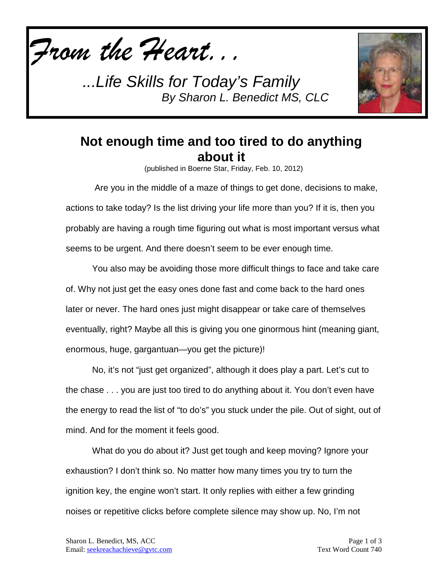



## **Not enough time and too tired to do anything about it**

(published in Boerne Star, Friday, Feb. 10, 2012)

Are you in the middle of a maze of things to get done, decisions to make, actions to take today? Is the list driving your life more than you? If it is, then you probably are having a rough time figuring out what is most important versus what seems to be urgent. And there doesn't seem to be ever enough time.

You also may be avoiding those more difficult things to face and take care of. Why not just get the easy ones done fast and come back to the hard ones later or never. The hard ones just might disappear or take care of themselves eventually, right? Maybe all this is giving you one ginormous hint (meaning giant, enormous, huge, gargantuan—you get the picture)!

No, it's not "just get organized", although it does play a part. Let's cut to the chase . . . you are just too tired to do anything about it. You don't even have the energy to read the list of "to do's" you stuck under the pile. Out of sight, out of mind. And for the moment it feels good.

What do you do about it? Just get tough and keep moving? Ignore your exhaustion? I don't think so. No matter how many times you try to turn the ignition key, the engine won't start. It only replies with either a few grinding noises or repetitive clicks before complete silence may show up. No, I'm not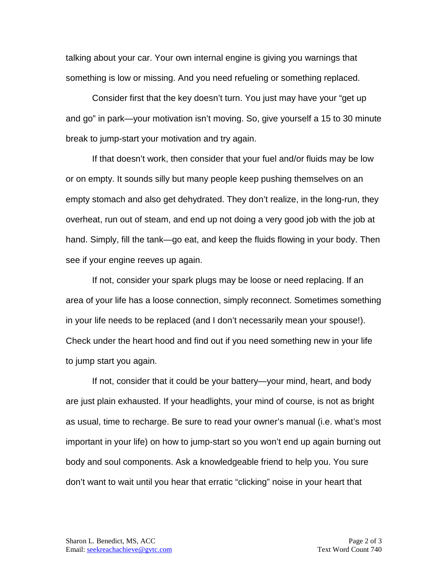talking about your car. Your own internal engine is giving you warnings that something is low or missing. And you need refueling or something replaced.

Consider first that the key doesn't turn. You just may have your "get up and go" in park—your motivation isn't moving. So, give yourself a 15 to 30 minute break to jump-start your motivation and try again.

If that doesn't work, then consider that your fuel and/or fluids may be low or on empty. It sounds silly but many people keep pushing themselves on an empty stomach and also get dehydrated. They don't realize, in the long-run, they overheat, run out of steam, and end up not doing a very good job with the job at hand. Simply, fill the tank—go eat, and keep the fluids flowing in your body. Then see if your engine reeves up again.

If not, consider your spark plugs may be loose or need replacing. If an area of your life has a loose connection, simply reconnect. Sometimes something in your life needs to be replaced (and I don't necessarily mean your spouse!). Check under the heart hood and find out if you need something new in your life to jump start you again.

If not, consider that it could be your battery—your mind, heart, and body are just plain exhausted. If your headlights, your mind of course, is not as bright as usual, time to recharge. Be sure to read your owner's manual (i.e. what's most important in your life) on how to jump-start so you won't end up again burning out body and soul components. Ask a knowledgeable friend to help you. You sure don't want to wait until you hear that erratic "clicking" noise in your heart that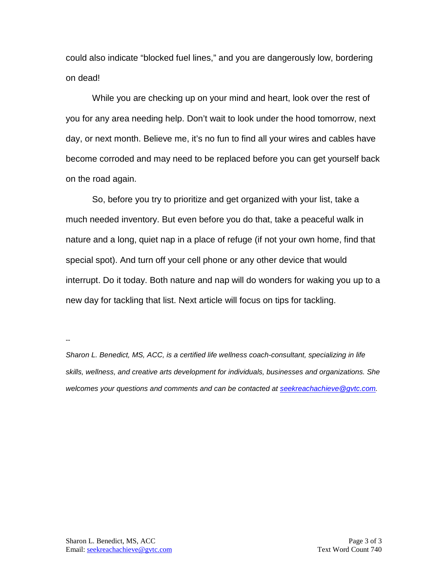could also indicate "blocked fuel lines," and you are dangerously low, bordering on dead!

While you are checking up on your mind and heart, look over the rest of you for any area needing help. Don't wait to look under the hood tomorrow, next day, or next month. Believe me, it's no fun to find all your wires and cables have become corroded and may need to be replaced before you can get yourself back on the road again.

So, before you try to prioritize and get organized with your list, take a much needed inventory. But even before you do that, take a peaceful walk in nature and a long, quiet nap in a place of refuge (if not your own home, find that special spot). And turn off your cell phone or any other device that would interrupt. Do it today. Both nature and nap will do wonders for waking you up to a new day for tackling that list. Next article will focus on tips for tackling.

**--**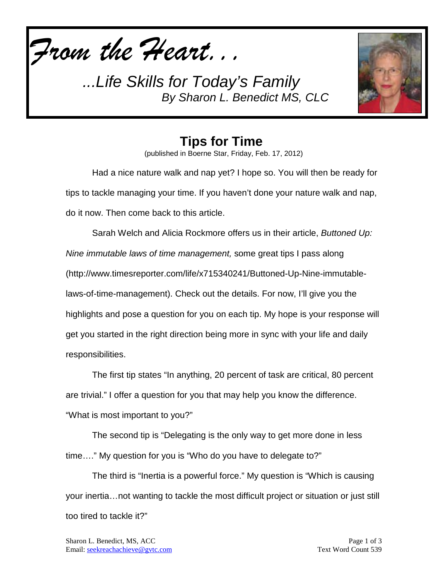



**Tips for Time** (published in Boerne Star, Friday, Feb. 17, 2012)

Had a nice nature walk and nap yet? I hope so. You will then be ready for tips to tackle managing your time. If you haven't done your nature walk and nap, do it now. Then come back to this article.

Sarah Welch and Alicia Rockmore offers us in their article, *Buttoned Up: Nine immutable laws of time management,* some great tips I pass along (http://www.timesreporter.com/life/x715340241/Buttoned-Up-Nine-immutablelaws-of-time-management). Check out the details. For now, I'll give you the highlights and pose a question for you on each tip. My hope is your response will get you started in the right direction being more in sync with your life and daily responsibilities.

The first tip states "In anything, 20 percent of task are critical, 80 percent are trivial." I offer a question for you that may help you know the difference. "What is most important to you?"

The second tip is "Delegating is the only way to get more done in less time…." My question for you is "Who do you have to delegate to?"

The third is "Inertia is a powerful force." My question is "Which is causing your inertia…not wanting to tackle the most difficult project or situation or just still too tired to tackle it?"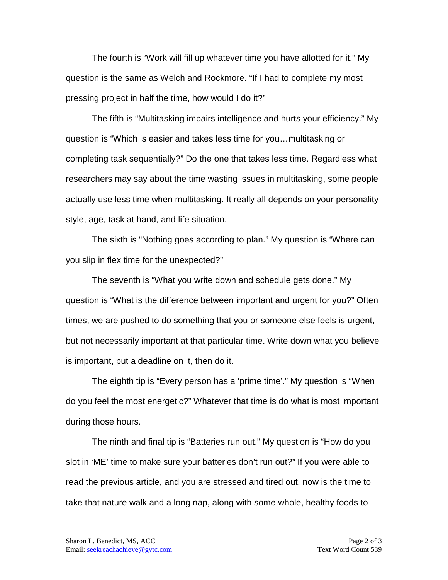The fourth is "Work will fill up whatever time you have allotted for it." My question is the same as Welch and Rockmore. "If I had to complete my most pressing project in half the time, how would I do it?"

The fifth is "Multitasking impairs intelligence and hurts your efficiency." My question is "Which is easier and takes less time for you…multitasking or completing task sequentially?" Do the one that takes less time. Regardless what researchers may say about the time wasting issues in multitasking, some people actually use less time when multitasking. It really all depends on your personality style, age, task at hand, and life situation.

The sixth is "Nothing goes according to plan." My question is "Where can you slip in flex time for the unexpected?"

The seventh is "What you write down and schedule gets done." My question is "What is the difference between important and urgent for you?" Often times, we are pushed to do something that you or someone else feels is urgent, but not necessarily important at that particular time. Write down what you believe is important, put a deadline on it, then do it.

The eighth tip is "Every person has a 'prime time'." My question is "When do you feel the most energetic?" Whatever that time is do what is most important during those hours.

The ninth and final tip is "Batteries run out." My question is "How do you slot in 'ME' time to make sure your batteries don't run out?" If you were able to read the previous article, and you are stressed and tired out, now is the time to take that nature walk and a long nap, along with some whole, healthy foods to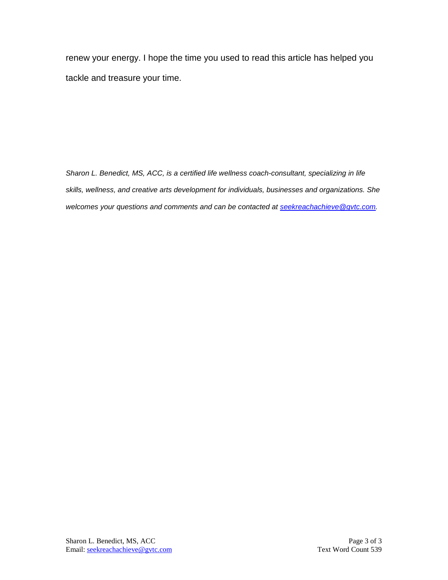renew your energy. I hope the time you used to read this article has helped you tackle and treasure your time.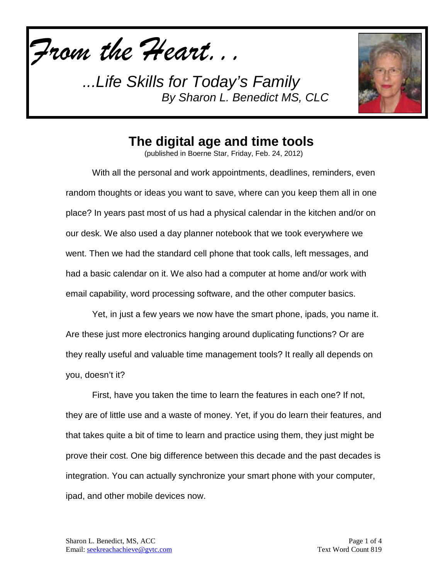*From the Heart...*



## **The digital age and time tools**

(published in Boerne Star, Friday, Feb. 24, 2012)

With all the personal and work appointments, deadlines, reminders, even random thoughts or ideas you want to save, where can you keep them all in one place? In years past most of us had a physical calendar in the kitchen and/or on our desk. We also used a day planner notebook that we took everywhere we went. Then we had the standard cell phone that took calls, left messages, and had a basic calendar on it. We also had a computer at home and/or work with email capability, word processing software, and the other computer basics.

Yet, in just a few years we now have the smart phone, ipads, you name it. Are these just more electronics hanging around duplicating functions? Or are they really useful and valuable time management tools? It really all depends on you, doesn't it?

First, have you taken the time to learn the features in each one? If not, they are of little use and a waste of money. Yet, if you do learn their features, and that takes quite a bit of time to learn and practice using them, they just might be prove their cost. One big difference between this decade and the past decades is integration. You can actually synchronize your smart phone with your computer, ipad, and other mobile devices now.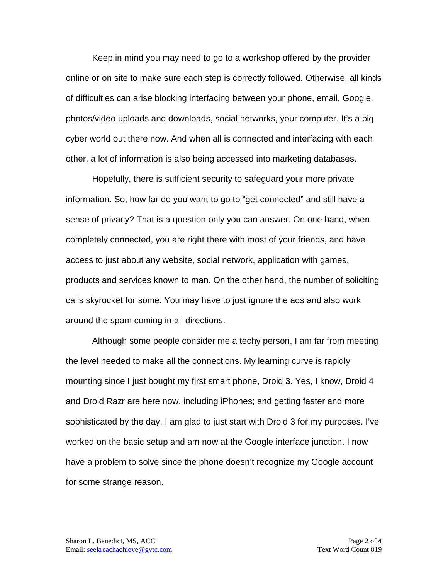Keep in mind you may need to go to a workshop offered by the provider online or on site to make sure each step is correctly followed. Otherwise, all kinds of difficulties can arise blocking interfacing between your phone, email, Google, photos/video uploads and downloads, social networks, your computer. It's a big cyber world out there now. And when all is connected and interfacing with each other, a lot of information is also being accessed into marketing databases.

Hopefully, there is sufficient security to safeguard your more private information. So, how far do you want to go to "get connected" and still have a sense of privacy? That is a question only you can answer. On one hand, when completely connected, you are right there with most of your friends, and have access to just about any website, social network, application with games, products and services known to man. On the other hand, the number of soliciting calls skyrocket for some. You may have to just ignore the ads and also work around the spam coming in all directions.

Although some people consider me a techy person, I am far from meeting the level needed to make all the connections. My learning curve is rapidly mounting since I just bought my first smart phone, Droid 3. Yes, I know, Droid 4 and Droid Razr are here now, including iPhones; and getting faster and more sophisticated by the day. I am glad to just start with Droid 3 for my purposes. I've worked on the basic setup and am now at the Google interface junction. I now have a problem to solve since the phone doesn't recognize my Google account for some strange reason.